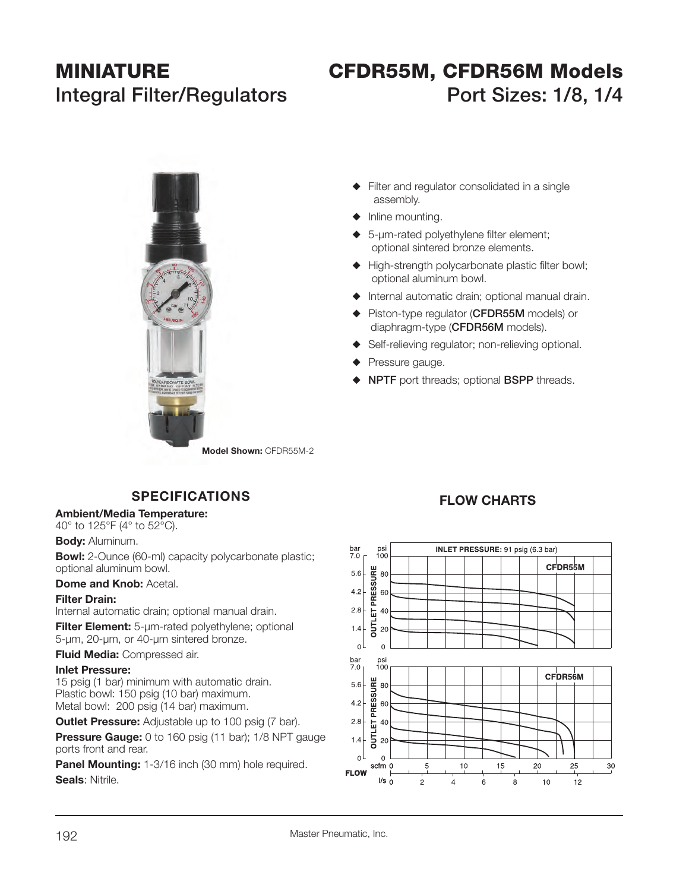# **MINIATURE CFDR55M, CFDR56M Models** Integral Filter/Regulators Port Sizes: 1/8, 1/4



- $\blacklozenge$  Filter and regulator consolidated in a single assembly.
- $\blacklozenge$  Inline mounting.
- $\bullet$  5-µm-rated polyethylene filter element; optional sintered bronze elements.
- $\blacklozenge$  High-strength polycarbonate plastic filter bowl; optional aluminum bowl.
- $\blacklozenge$  Internal automatic drain; optional manual drain.
- S Piston-type regulator (**CFDR55M** models) or diaphragm-type (**CFDR56M** models).
- $\blacklozenge$  Self-relieving regulator; non-relieving optional.
- $\blacklozenge$  Pressure gauge.
- S **NPTF** port threads; optional **BSPP** threads.

# **SPECIFICATIONS**

#### **Ambient/Media Temperature:**

40° to 125°F (4° to 52°C).

#### **Body:** Aluminum.

**Bowl:** 2-Ounce (60-ml) capacity polycarbonate plastic; optional aluminum bowl.

#### **Dome and Knob:** Acetal.

#### **Filter Drain:**

Internal automatic drain; optional manual drain.

**Filter Element:** 5-µm-rated polyethylene; optional 5-µm, 20-µm, or 40-µm sintered bronze.

**Fluid Media:** Compressed air.

#### **Inlet Pressure:**

 15 psig (1 bar) minimum with automatic drain. Plastic bowl: 150 psig (10 bar) maximum. Metal bowl: 200 psig (14 bar) maximum.

**Outlet Pressure:** Adjustable up to 100 psig (7 bar).

**Pressure Gauge:** 0 to 160 psig (11 bar); 1/8 NPT gauge ports front and rear.

**Panel Mounting:** 1-3/16 inch (30 mm) hole required. **Seals**: Nitrile.

## **FLOW CHARTS**